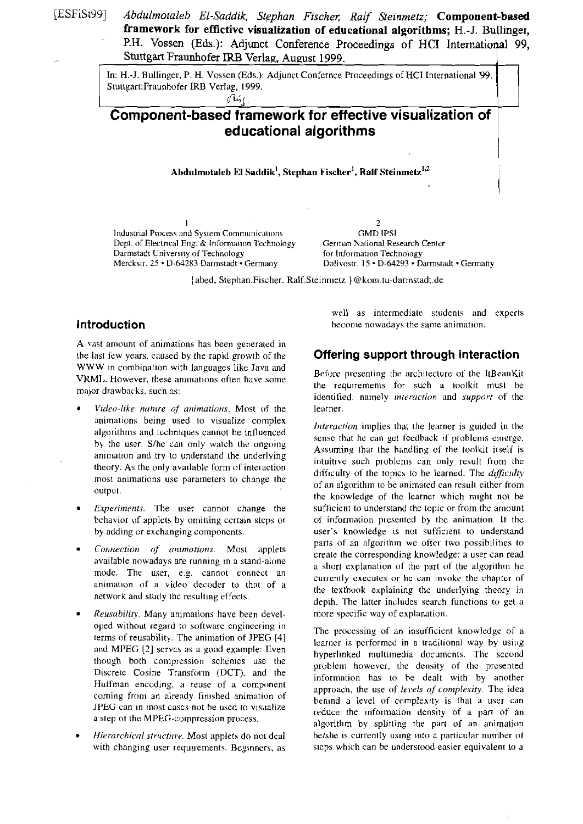[ESFiSt99] Abdulmotaleb El-Saddik, Stephan Fischer, Ralf Steinmetz; **Component-based framework for effictive visualization of educational algorithms; H.-J. Bullinger,**  P.H. Vossen (Eds.): Adjunct Conference Proceedings of HCI International 99, Stuttgart Fraunhofer IRB Verlag, August 1999.  $\perp$ 

> In: H.-J. ßullinger. P. H. Vossen (Eds.): Adjunct Confernce Proceedings of HCI International 99. Stuttgart:Fraunhofer IRB Verlag, 1999.

# **Component-based framework for effective visualization of educational algorithms** I,

#### Abdulmotaleb El Saddik<sup>1</sup>, Stephan Fischer<sup>1</sup>, Ralf Steinmetz<sup>1,2</sup>

Industrial Process and System Communications GMD IPSI<br>
Dept. of Electrical Eng. & Information Technology German National Research Center Dept. of Electrical Eng. & Information Technology German National Research Cenrcrical Centres Centres Centres Centres Centres Centres Centres Centres Centres Centres Centres Centres Centres Centres Centres Centres Centres Darmstadt University of Technology<br>Merckstr. 25 · D-64283 Darmstadt · Germany

 $1$  2 Dolivostr. 15 - D-64293 . Darmstadt . Germany

{abed, Stephan.Fischer, Ralf.Steinmetz } @kom.tu-darmstadt.de

### **lntroduction**

A vast amount of animations has been generated in the last few years, caused by the rapid growth of the **Offering Support through interaction**  WWW in combination with languages like Java and<br>
VRML. However, these animations often have some<br>
major drawbacks, such as:<br>
identified: namely *interaction* and *support* of the<br>
identified: namely *interaction* and *supp* 

- Video-like nature of animations. Most of the learner. animations being used to visualize complex *Interaction* implies that the learner is guided in the algorithms and techniques cannot be influenced sense that he can get feedback if problems emerge.
- 
- 
- $Reusability$ . Many animations have been devel- more specific way of explanation. oped without regard to software engineering in The processing of an insufficient knowledge of a<br>terms of reusability. The animation of JPEG [4]
- 

well as intermediate students and experts become nowadays the same animation.

1

by the user. S/he can only watch the ongoing<br>animation and try to understand the underlying<br>theory. As the only available form of interaction<br>most animations use parameters to change the<br>content of an algorithm to be anima of an algorithm to be animated can result either from<br>output.<br>the knowledge of the learner which might not be Experiments. The user cannot change the sufficient to understand the topic or from the amount behavior of applets by omitting certain steps or of information presented by the animation. If the by adding or exchanging components. The user's knowledge is not sufficient to understand  $Connection \ of \ aminations. Most applets available nowadays are running in a stand-alone\n\n
$$
The total number of \ aminings are running in a stand-alone\n\tag{10.1} The total number of \ aminings are running in a small. The total number of \ aminings are not equal to the total number of the second. The total number of \ aminings are not equal to the total number of the second. The total number of \ aminings are not equal to the total number of the third. The total number of \ aminings are not equal to the total number of the third. The total number of \ aminings are not equal to the third. The total number of \ aminings are not equal to the third. The total number of \ aminings are not equal to the third. The total number of \ aminings are not equal to the third. The total number of \ aminings are not equal to the third. The total number of \
$$$ a short explanation of the part of the algorithm he mode. The user, e.g. cannot connect an<br>animation of a video decoder to that of a<br>network and study the resulting effects.<br>depth. The latter includes search functions to get a

terms of reusability. The animation of JPEG [4] learner is performed in a traditional way by using and MPEG [2] serves as a good example: Even though both compression schemes use the number house the documents. The second though both compression schemes use the problem however, the density of the presented Discrete Cosine Transform (DCT), and the information has to be dealt with by another Huffman encoding, a reuse of a component Furthman encoding, a reuse of a component approach, the use of *levels of complexity*. The idea coming from an already finished animation of behind a level of complexity is that a user can JPEG can in most cases not be used to visualize<br>
a step of the MPEG-compression process.<br>
algorithm by splitting the part of an animation<br> *Hierarchical structure*. Most applets do not deal<br>
he/she is currently using into he/she is currently using into a particular number of with changing user requirements. Beginners, as steps which can be understood easier equivalent to a

Ī.